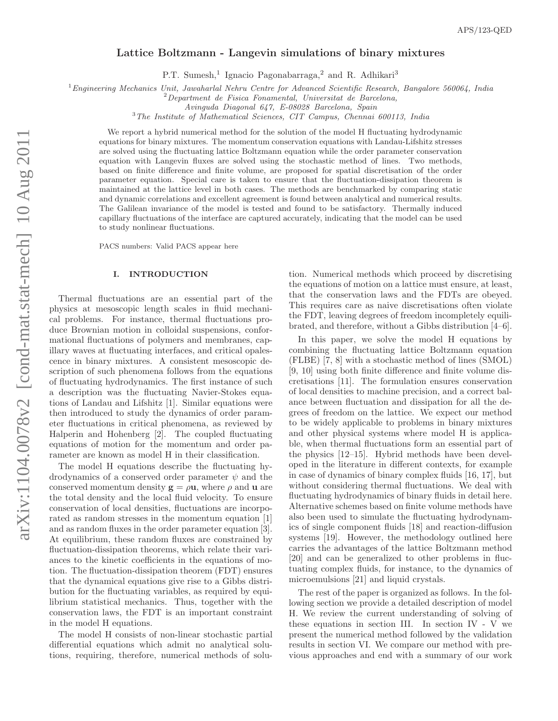# Lattice Boltzmann - Langevin simulations of binary mixtures

P.T. Sumesh,<sup>1</sup> Ignacio Pagonabarraga,<sup>2</sup> and R. Adhikari<sup>3</sup>

 $1$ Engineering Mechanics Unit, Jawaharlal Nehru Centre for Advanced Scientific Research, Bangalore 560064, India

 $2$ Department de Fisica Fonamental, Universitat de Barcelona,

Avinguda Diagonal 647, E-08028 Barcelona, Spain

<sup>3</sup>The Institute of Mathematical Sciences, CIT Campus, Chennai 600113, India

We report a hybrid numerical method for the solution of the model H fluctuating hydrodynamic equations for binary mixtures. The momentum conservation equations with Landau-Lifshitz stresses are solved using the fluctuating lattice Boltzmann equation while the order parameter conservation equation with Langevin fluxes are solved using the stochastic method of lines. Two methods, based on finite difference and finite volume, are proposed for spatial discretisation of the order parameter equation. Special care is taken to ensure that the fluctuation-dissipation theorem is maintained at the lattice level in both cases. The methods are benchmarked by comparing static and dynamic correlations and excellent agreement is found between analytical and numerical results. The Galilean invariance of the model is tested and found to be satisfactory. Thermally induced capillary fluctuations of the interface are captured accurately, indicating that the model can be used to study nonlinear fluctuations.

PACS numbers: Valid PACS appear here

#### I. INTRODUCTION

Thermal fluctuations are an essential part of the physics at mesoscopic length scales in fluid mechanical problems. For instance, thermal fluctuations produce Brownian motion in colloidal suspensions, conformational fluctuations of polymers and membranes, capillary waves at fluctuating interfaces, and critical opalescence in binary mixtures. A consistent mesoscopic description of such phenomena follows from the equations of fluctuating hydrodynamics. The first instance of such a description was the fluctuating Navier-Stokes equations of Landau and Lifshitz [1]. Similar equations were then introduced to study the dynamics of order parameter fluctuations in critical phenomena, as reviewed by Halperin and Hohenberg [2]. The coupled fluctuating equations of motion for the momentum and order parameter are known as model H in their classification.

The model H equations describe the fluctuating hydrodynamics of a conserved order parameter  $\psi$  and the conserved momentum density  $\mathbf{g} = \rho \mathbf{u}$ , where  $\rho$  and  $\mathbf{u}$  are the total density and the local fluid velocity. To ensure conservation of local densities, fluctuations are incorporated as random stresses in the momentum equation [1] and as random fluxes in the order parameter equation [3]. At equilibrium, these random fluxes are constrained by fluctuation-dissipation theorems, which relate their variances to the kinetic coefficients in the equations of motion. The fluctuation-dissipation theorem (FDT) ensures that the dynamical equations give rise to a Gibbs distribution for the fluctuating variables, as required by equilibrium statistical mechanics. Thus, together with the conservation laws, the FDT is an important constraint in the model H equations.

The model H consists of non-linear stochastic partial differential equations which admit no analytical solutions, requiring, therefore, numerical methods of solu-

tion. Numerical methods which proceed by discretising the equations of motion on a lattice must ensure, at least, that the conservation laws and the FDTs are obeyed. This requires care as naive discretisations often violate the FDT, leaving degrees of freedom incompletely equilibrated, and therefore, without a Gibbs distribution [4–6].

In this paper, we solve the model H equations by combining the fluctuating lattice Boltzmann equation (FLBE) [7, 8] with a stochastic method of lines (SMOL) [9, 10] using both finite difference and finite volume discretisations [11]. The formulation ensures conservation of local densities to machine precision, and a correct balance between fluctuation and dissipation for all the degrees of freedom on the lattice. We expect our method to be widely applicable to problems in binary mixtures and other physical systems where model H is applicable, when thermal fluctuations form an essential part of the physics [12–15]. Hybrid methods have been developed in the literature in different contexts, for example in case of dynamics of binary complex fluids [16, 17], but without considering thermal fluctuations. We deal with fluctuating hydrodynamics of binary fluids in detail here. Alternative schemes based on finite volume methods have also been used to simulate the fluctuating hydrodynamics of single component fluids [18] and reaction-diffusion systems [19]. However, the methodology outlined here carries the advantages of the lattice Boltzmann method [20] and can be generalized to other problems in fluctuating complex fluids, for instance, to the dynamics of microemulsions [21] and liquid crystals.

The rest of the paper is organized as follows. In the following section we provide a detailed description of model H. We review the current understanding of solving of these equations in section III. In section IV - V we present the numerical method followed by the validation results in section VI. We compare our method with previous approaches and end with a summary of our work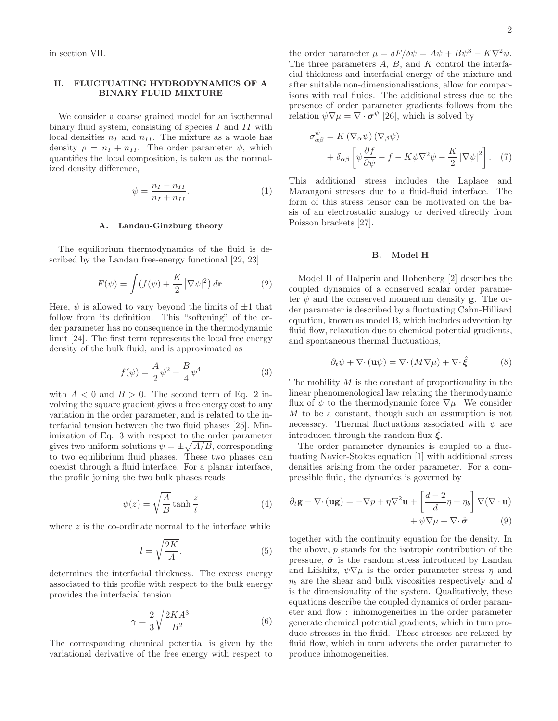in section VII.

# II. FLUCTUATING HYDRODYNAMICS OF A BINARY FLUID MIXTURE

We consider a coarse grained model for an isothermal binary fluid system, consisting of species I and II with local densities  $n_I$  and  $n_{II}$ . The mixture as a whole has density  $\rho = n_I + n_{II}$ . The order parameter  $\psi$ , which quantifies the local composition, is taken as the normalized density difference,

$$
\psi = \frac{n_I - n_{II}}{n_I + n_{II}}.\tag{1}
$$

## A. Landau-Ginzburg theory

The equilibrium thermodynamics of the fluid is described by the Landau free-energy functional [22, 23]

$$
F(\psi) = \int (f(\psi) + \frac{K}{2} |\nabla \psi|^2) d\mathbf{r}.
$$
 (2)

Here,  $\psi$  is allowed to vary beyond the limits of  $\pm 1$  that follow from its definition. This "softening" of the order parameter has no consequence in the thermodynamic limit [24]. The first term represents the local free energy density of the bulk fluid, and is approximated as

$$
f(\psi) = \frac{A}{2}\psi^2 + \frac{B}{4}\psi^4
$$
 (3)

with  $A < 0$  and  $B > 0$ . The second term of Eq. 2 involving the square gradient gives a free energy cost to any variation in the order parameter, and is related to the interfacial tension between the two fluid phases [25]. Minimization of Eq. 3 with respect to the order parameter gives two uniform solutions  $\psi = \pm \sqrt{A/B}$ , corresponding to two equilibrium fluid phases. These two phases can coexist through a fluid interface. For a planar interface, the profile joining the two bulk phases reads

$$
\psi(z) = \sqrt{\frac{A}{B}} \tanh \frac{z}{l}
$$
 (4)

where  $z$  is the co-ordinate normal to the interface while

$$
l = \sqrt{\frac{2K}{A}}.\tag{5}
$$

determines the interfacial thickness. The excess energy associated to this profile with respect to the bulk energy provides the interfacial tension

$$
\gamma = \frac{2}{3} \sqrt{\frac{2KA^3}{B^2}}\tag{6}
$$

The corresponding chemical potential is given by the variational derivative of the free energy with respect to

the order parameter  $\mu = \delta F/\delta \psi = A\psi + B\psi^3 - K\nabla^2 \psi$ . The three parameters  $A, B$ , and  $K$  control the interfacial thickness and interfacial energy of the mixture and after suitable non-dimensionalisations, allow for comparisons with real fluids. The additional stress due to the presence of order parameter gradients follows from the relation  $\psi \nabla \mu = \nabla \cdot \boldsymbol{\sigma} \psi$  [26], which is solved by

$$
\sigma_{\alpha\beta}^{\psi} = K \left( \nabla_{\alpha}\psi \right) \left( \nabla_{\beta}\psi \right) + \delta_{\alpha\beta} \left[ \psi \frac{\partial f}{\partial \psi} - f - K \psi \nabla^2 \psi - \frac{K}{2} \left| \nabla \psi \right|^2 \right].
$$
 (7)

This additional stress includes the Laplace and Marangoni stresses due to a fluid-fluid interface. The form of this stress tensor can be motivated on the basis of an electrostatic analogy or derived directly from Poisson brackets [27].

## B. Model H

Model H of Halperin and Hohenberg [2] describes the coupled dynamics of a conserved scalar order parameter  $\psi$  and the conserved momentum density **g**. The order parameter is described by a fluctuating Cahn-Hilliard equation, known as model B, which includes advection by fluid flow, relaxation due to chemical potential gradients, and spontaneous thermal fluctuations,

$$
\partial_t \psi + \nabla \cdot (\mathbf{u}\psi) = \nabla \cdot (M\nabla \mu) + \nabla \cdot \hat{\xi}.
$$
 (8)

The mobility  $M$  is the constant of proportionality in the linear phenomenological law relating the thermodynamic flux of  $\psi$  to the thermodynamic force  $\nabla \mu$ . We consider M to be a constant, though such an assumption is not necessary. Thermal fluctuations associated with  $\psi$  are introduced through the random flux  $\zeta$ .

The order parameter dynamics is coupled to a fluctuating Navier-Stokes equation [1] with additional stress densities arising from the order parameter. For a compressible fluid, the dynamics is governed by

$$
\partial_t \mathbf{g} + \nabla \cdot (\mathbf{u}\mathbf{g}) = -\nabla p + \eta \nabla^2 \mathbf{u} + \left[ \frac{d-2}{d} \eta + \eta_b \right] \nabla (\nabla \cdot \mathbf{u}) + \psi \nabla \mu + \nabla \cdot \hat{\boldsymbol{\sigma}} \tag{9}
$$

together with the continuity equation for the density. In the above, p stands for the isotropic contribution of the pressure,  $\hat{\sigma}$  is the random stress introduced by Landau and Lifshitz,  $\psi \nabla \mu$  is the order parameter stress  $\eta$  and  $\eta_b$  are the shear and bulk viscosities respectively and d is the dimensionality of the system. Qualitatively, these equations describe the coupled dynamics of order parameter and flow : inhomogeneities in the order parameter generate chemical potential gradients, which in turn produce stresses in the fluid. These stresses are relaxed by fluid flow, which in turn advects the order parameter to produce inhomogeneities.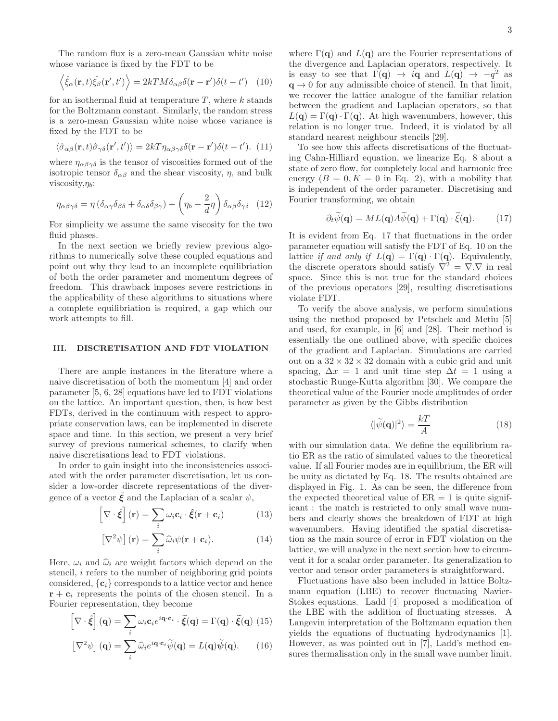The random flux is a zero-mean Gaussian white noise whose variance is fixed by the FDT to be

$$
\langle \hat{\xi}_{\alpha}(\mathbf{r},t)\hat{\xi}_{\beta}(\mathbf{r}',t')\rangle = 2kTM\delta_{\alpha\beta}\delta(\mathbf{r}-\mathbf{r}')\delta(t-t') \quad (10)
$$

for an isothermal fluid at temperature  $T$ , where  $k$  stands for the Boltzmann constant. Similarly, the random stress is a zero-mean Gaussian white noise whose variance is fixed by the FDT to be

$$
\langle \hat{\sigma}_{\alpha\beta}(\mathbf{r},t)\hat{\sigma}_{\gamma\delta}(\mathbf{r}',t')\rangle = 2kT\eta_{\alpha\beta\gamma\delta}\delta(\mathbf{r}-\mathbf{r}')\delta(t-t'). \tag{11}
$$

where  $\eta_{\alpha\beta\gamma\delta}$  is the tensor of viscosities formed out of the isotropic tensor  $\delta_{\alpha\beta}$  and the shear viscosity,  $\eta$ , and bulk viscosity, $\eta_b$ :

$$
\eta_{\alpha\beta\gamma\delta} = \eta \left( \delta_{\alpha\gamma} \delta_{\beta\delta} + \delta_{\alpha\delta} \delta_{\beta\gamma} \right) + \left( \eta_b - \frac{2}{d} \eta \right) \delta_{\alpha\beta} \delta_{\gamma\delta} \quad (12)
$$

For simplicity we assume the same viscosity for the two fluid phases.

In the next section we briefly review previous algorithms to numerically solve these coupled equations and point out why they lead to an incomplete equilibriation of both the order parameter and momentum degrees of freedom. This drawback imposes severe restrictions in the applicability of these algorithms to situations where a complete equilibriation is required, a gap which our work attempts to fill.

#### III. DISCRETISATION AND FDT VIOLATION

There are ample instances in the literature where a naive discretisation of both the momentum [4] and order parameter [5, 6, 28] equations have led to FDT violations on the lattice. An important question, then, is how best FDTs, derived in the continuum with respect to appropriate conservation laws, can be implemented in discrete space and time. In this section, we present a very brief survey of previous numerical schemes, to clarify when naive discretisations lead to FDT violations.

In order to gain insight into the inconsistencies associated with the order parameter discretisation, let us consider a low-order discrete representations of the divergence of a vector  $\mathbf{\hat{\xi}}$  and the Laplacian of a scalar  $\psi$ ,

$$
\left[\nabla \cdot \hat{\xi}\right](\mathbf{r}) = \sum_{i} \omega_i \mathbf{c}_i \cdot \hat{\xi}(\mathbf{r} + \mathbf{c}_i)
$$
 (13)

$$
\left[\nabla^2 \psi\right](\mathbf{r}) = \sum_i \hat{\omega}_i \psi(\mathbf{r} + \mathbf{c}_i).
$$
 (14)

Here,  $\omega_i$  and  $\hat{\omega}_i$  are weight factors which depend on the stencil, i refers to the number of neighboring grid points considered,  $\{c_i\}$  corresponds to a lattice vector and hence  $\mathbf{r} + \mathbf{c}_i$  represents the points of the chosen stencil. In a Fourier representation, they become

$$
\left[\nabla \cdot \hat{\xi}\right](\mathbf{q}) = \sum_{i} \omega_i \mathbf{c}_i e^{i\mathbf{q} \cdot \mathbf{c}_i} \cdot \tilde{\xi}(\mathbf{q}) = \Gamma(\mathbf{q}) \cdot \tilde{\xi}(\mathbf{q}) \tag{15}
$$

$$
\left[\nabla^2 \psi\right](\mathbf{q}) = \sum_i \widehat{\omega}_i e^{i\mathbf{q}\cdot\mathbf{c}_i} \widetilde{\psi}(\mathbf{q}) = L(\mathbf{q}) \widetilde{\psi}(\mathbf{q}). \qquad (16)
$$

where  $\Gamma(\mathbf{q})$  and  $L(\mathbf{q})$  are the Fourier representations of the divergence and Laplacian operators, respectively. It is easy to see that  $\Gamma(\mathbf{q}) \to i\mathbf{q}$  and  $L(\mathbf{q}) \to -q^2$  as  $q \rightarrow 0$  for any admissible choice of stencil. In that limit, we recover the lattice analogue of the familiar relation between the gradient and Laplacian operators, so that  $L(\mathbf{q}) = \Gamma(\mathbf{q}) \cdot \Gamma(\mathbf{q})$ . At high wavenumbers, however, this relation is no longer true. Indeed, it is violated by all standard nearest neighbour stencils [29].

To see how this affects discretisations of the fluctuating Cahn-Hilliard equation, we linearize Eq. 8 about a state of zero flow, for completely local and harmonic free energy  $(B = 0, K = 0$  in Eq. 2), with a mobility that is independent of the order parameter. Discretising and Fourier transforming, we obtain

$$
\partial_t \widetilde{\psi}(\mathbf{q}) = ML(\mathbf{q})A\widetilde{\psi}(\mathbf{q}) + \Gamma(\mathbf{q}) \cdot \widetilde{\xi}(\mathbf{q}). \tag{17}
$$

It is evident from Eq. 17 that fluctuations in the order parameter equation will satisfy the FDT of Eq. 10 on the lattice if and only if  $L(\mathbf{q}) = \Gamma(\mathbf{q}) \cdot \Gamma(\mathbf{q})$ . Equivalently, the discrete operators should satisfy  $\nabla^2 = \nabla \cdot \nabla$  in real space. Since this is not true for the standard choices of the previous operators [29], resulting discretisations violate FDT.

To verify the above analysis, we perform simulations using the method proposed by Petschek and Metiu [5] and used, for example, in [6] and [28]. Their method is essentially the one outlined above, with specific choices of the gradient and Laplacian. Simulations are carried out on a  $32 \times 32 \times 32$  domain with a cubic grid and unit spacing,  $\Delta x = 1$  and unit time step  $\Delta t = 1$  using a stochastic Runge-Kutta algorithm [30]. We compare the theoretical value of the Fourier mode amplitudes of order parameter as given by the Gibbs distribution

$$
\langle |\widetilde{\psi}(\mathbf{q})|^2 \rangle = \frac{kT}{A} \tag{18}
$$

with our simulation data. We define the equilibrium ratio ER as the ratio of simulated values to the theoretical value. If all Fourier modes are in equilibrium, the ER will be unity as dictated by Eq. 18. The results obtained are displayed in Fig. 1. As can be seen, the difference from the expected theoretical value of  $ER = 1$  is quite significant : the match is restricted to only small wave numbers and clearly shows the breakdown of FDT at high wavenumbers. Having identified the spatial discretisation as the main source of error in FDT violation on the lattice, we will analyze in the next section how to circumvent it for a scalar order parameter. Its generalization to vector and tensor order parameters is straightforward.

Fluctuations have also been included in lattice Boltzmann equation (LBE) to recover fluctuating Navier-Stokes equations. Ladd [4] proposed a modification of the LBE with the addition of fluctuating stresses. A Langevin interpretation of the Boltzmann equation then yields the equations of fluctuating hydrodynamics [1]. However, as was pointed out in [7], Ladd's method ensures thermalisation only in the small wave number limit.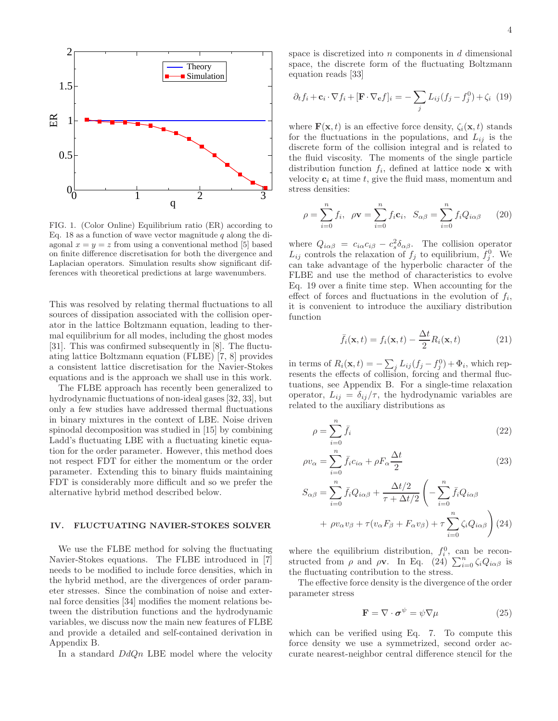

FIG. 1. (Color Online) Equilibrium ratio (ER) according to Eq. 18 as a function of wave vector magnitude  $q$  along the diagonal  $x = y = z$  from using a conventional method [5] based on finite difference discretisation for both the divergence and Laplacian operators. Simulation results show significant differences with theoretical predictions at large wavenumbers.

This was resolved by relating thermal fluctuations to all sources of dissipation associated with the collision operator in the lattice Boltzmann equation, leading to thermal equilibrium for all modes, including the ghost modes [31]. This was confirmed subsequently in [8]. The fluctuating lattice Boltzmann equation (FLBE) [7, 8] provides a consistent lattice discretisation for the Navier-Stokes equations and is the approach we shall use in this work.

The FLBE approach has recently been generalized to hydrodynamic fluctuations of non-ideal gases [32, 33], but only a few studies have addressed thermal fluctuations in binary mixtures in the context of LBE. Noise driven spinodal decomposition was studied in [15] by combining Ladd's fluctuating LBE with a fluctuating kinetic equation for the order parameter. However, this method does not respect FDT for either the momentum or the order parameter. Extending this to binary fluids maintaining FDT is considerably more difficult and so we prefer the alternative hybrid method described below.

## IV. FLUCTUATING NAVIER-STOKES SOLVER

We use the FLBE method for solving the fluctuating Navier-Stokes equations. The FLBE introduced in [7] needs to be modified to include force densities, which in the hybrid method, are the divergences of order parameter stresses. Since the combination of noise and external force densities [34] modifies the moment relations between the distribution functions and the hydrodynamic variables, we discuss now the main new features of FLBE and provide a detailed and self-contained derivation in Appendix B.

In a standard  $DdQn$  LBE model where the velocity

space is discretized into  $n$  components in  $d$  dimensional space, the discrete form of the fluctuating Boltzmann equation reads [33]

$$
\partial_t f_i + \mathbf{c}_i \cdot \nabla f_i + [\mathbf{F} \cdot \nabla_{\mathbf{c}} f]_i = -\sum_j L_{ij} (f_j - f_j^0) + \zeta_i \tag{19}
$$

where  $\mathbf{F}(\mathbf{x}, t)$  is an effective force density,  $\zeta_i(\mathbf{x}, t)$  stands for the fluctuations in the populations, and  $L_{ij}$  is the discrete form of the collision integral and is related to the fluid viscosity. The moments of the single particle distribution function  $f_i$ , defined at lattice node **x** with velocity  $c_i$  at time t, give the fluid mass, momentum and stress densities:

$$
\rho = \sum_{i=0}^{n} f_i, \quad \rho \mathbf{v} = \sum_{i=0}^{n} f_i \mathbf{c}_i, \quad S_{\alpha \beta} = \sum_{i=0}^{n} f_i Q_{i\alpha\beta} \qquad (20)
$$

where  $Q_{i\alpha\beta} = c_{i\alpha}c_{i\beta} - c_s^2\delta_{\alpha\beta}$ . The collision operator  $L_{ij}$  controls the relaxation of  $f_j$  to equilibrium,  $f_j^0$ . We can take advantage of the hyperbolic character of the FLBE and use the method of characteristics to evolve Eq. 19 over a finite time step. When accounting for the effect of forces and fluctuations in the evolution of  $f_i$ , it is convenient to introduce the auxiliary distribution function

$$
\bar{f}_i(\mathbf{x},t) = f_i(\mathbf{x},t) - \frac{\Delta t}{2} R_i(\mathbf{x},t)
$$
\n(21)

in terms of  $R_i(\mathbf{x}, t) = -\sum_j L_{ij} (f_j - f_j^0) + \Phi_i$ , which represents the effects of collision, forcing and thermal fluctuations, see Appendix B. For a single-time relaxation operator,  $L_{ij} = \delta_{ij}/\tau$ , the hydrodynamic variables are related to the auxiliary distributions as

$$
\rho = \sum_{i=0}^{n} \bar{f_i} \tag{22}
$$

$$
\rho v_{\alpha} = \sum_{i=0}^{n} \bar{f}_i c_{i\alpha} + \rho F_{\alpha} \frac{\Delta t}{2}
$$
\n(23)

$$
S_{\alpha\beta} = \sum_{i=0}^{n} \bar{f}_i Q_{i\alpha\beta} + \frac{\Delta t/2}{\tau + \Delta t/2} \left( -\sum_{i=0}^{n} \bar{f}_i Q_{i\alpha\beta} + \rho v_\alpha v_\beta + \tau (v_\alpha F_\beta + F_\alpha v_\beta) + \tau \sum_{i=0}^{n} \zeta_i Q_{i\alpha\beta} \right) (24)
$$

where the equilibrium distribution,  $f_i^0$ , can be reconstructed from  $\rho$  and  $\rho \mathbf{v}$ . In Eq. (24)  $\sum_{i=0}^{n} \zeta_i Q_{i\alpha\beta}$  is the fluctuating contribution to the stress.

The effective force density is the divergence of the order parameter stress

$$
\mathbf{F} = \nabla \cdot \boldsymbol{\sigma}^{\psi} = \psi \nabla \mu \tag{25}
$$

which can be verified using Eq. 7. To compute this force density we use a symmetrized, second order accurate nearest-neighbor central difference stencil for the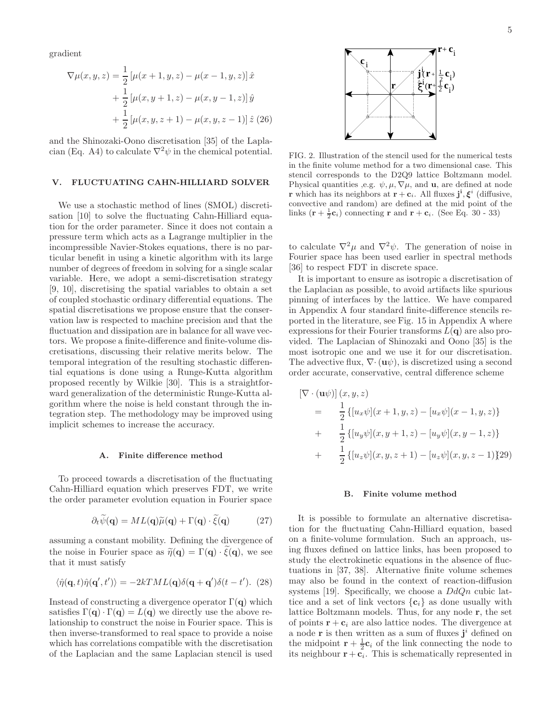gradient

$$
\nabla \mu(x, y, z) = \frac{1}{2} \left[ \mu(x + 1, y, z) - \mu(x - 1, y, z) \right] \hat{x}
$$

$$
+ \frac{1}{2} \left[ \mu(x, y + 1, z) - \mu(x, y - 1, z) \right] \hat{y}
$$

$$
+ \frac{1}{2} \left[ \mu(x, y, z + 1) - \mu(x, y, z - 1) \right] \hat{z} \tag{26}
$$

and the Shinozaki-Oono discretisation [35] of the Laplacian (Eq. A4) to calculate  $\nabla^2 \psi$  in the chemical potential.

#### V. FLUCTUATING CAHN-HILLIARD SOLVER

We use a stochastic method of lines (SMOL) discretisation [10] to solve the fluctuating Cahn-Hilliard equation for the order parameter. Since it does not contain a pressure term which acts as a Lagrange multiplier in the incompressible Navier-Stokes equations, there is no particular benefit in using a kinetic algorithm with its large number of degrees of freedom in solving for a single scalar variable. Here, we adopt a semi-discretisation strategy [9, 10], discretising the spatial variables to obtain a set of coupled stochastic ordinary differential equations. The spatial discretisations we propose ensure that the conservation law is respected to machine precision and that the fluctuation and dissipation are in balance for all wave vectors. We propose a finite-difference and finite-volume discretisations, discussing their relative merits below. The temporal integration of the resulting stochastic differential equations is done using a Runge-Kutta algorithm proposed recently by Wilkie [30]. This is a straightforward generalization of the deterministic Runge-Kutta algorithm where the noise is held constant through the integration step. The methodology may be improved using implicit schemes to increase the accuracy.

# A. Finite difference method

To proceed towards a discretisation of the fluctuating Cahn-Hilliard equation which preserves FDT, we write the order parameter evolution equation in Fourier space

$$
\partial_t \widetilde{\psi}(\mathbf{q}) = ML(\mathbf{q})\widetilde{\mu}(\mathbf{q}) + \Gamma(\mathbf{q}) \cdot \widetilde{\xi}(\mathbf{q}) \tag{27}
$$

assuming a constant mobility. Defining the divergence of the noise in Fourier space as  $\tilde{\eta}(\mathbf{q}) = \Gamma(\mathbf{q}) \cdot \xi(\mathbf{q})$ , we see that it must satisfy

$$
\langle \hat{\eta}(\mathbf{q},t)\hat{\eta}(\mathbf{q}',t')\rangle = -2kTML(\mathbf{q})\delta(\mathbf{q}+\mathbf{q}')\delta(t-t').
$$
 (28)

Instead of constructing a divergence operator  $\Gamma(\mathbf{q})$  which satisfies  $\Gamma(\mathbf{q}) \cdot \Gamma(\mathbf{q}) = L(\mathbf{q})$  we directly use the above relationship to construct the noise in Fourier space. This is then inverse-transformed to real space to provide a noise which has correlations compatible with the discretisation of the Laplacian and the same Laplacian stencil is used



FIG. 2. Illustration of the stencil used for the numerical tests in the finite volume method for a two dimensional case. This stencil corresponds to the D2Q9 lattice Boltzmann model. Physical quantities ,e.g.  $\psi$ ,  $\mu$ ,  $\nabla \mu$ , and **u**, are defined at node **r** which has its neighbors at  $\mathbf{r} + \mathbf{c}_i$ . All fluxes  $\mathbf{j}^i, \boldsymbol{\xi}^i$  (diffusive, convective and random) are defined at the mid point of the links  $(\mathbf{r} + \frac{1}{2}\mathbf{c}_i)$  connecting  $\mathbf{r}$  and  $\mathbf{r} + \mathbf{c}_i$ . (See Eq. 30 - 33)

to calculate  $\nabla^2 \mu$  and  $\nabla^2 \psi$ . The generation of noise in Fourier space has been used earlier in spectral methods [36] to respect FDT in discrete space.

It is important to ensure as isotropic a discretisation of the Laplacian as possible, to avoid artifacts like spurious pinning of interfaces by the lattice. We have compared in Appendix A four standard finite-difference stencils reported in the literature, see Fig. 15 in Appendix A where expressions for their Fourier transforms  $L(\mathbf{q})$  are also provided. The Laplacian of Shinozaki and Oono [35] is the most isotropic one and we use it for our discretisation. The advective flux,  $\nabla \cdot (\mathbf{u}\psi)$ , is discretized using a second order accurate, conservative, central difference scheme

$$
\begin{aligned} \left[\nabla \cdot (\mathbf{u}\psi)\right](x, y, z) \\ &= \frac{1}{2} \left\{ [u_x \psi](x+1, y, z) - [u_x \psi](x-1, y, z) \right\} \\ &+ \frac{1}{2} \left\{ [u_y \psi](x, y+1, z) - [u_y \psi](x, y-1, z) \right\} \\ &+ \frac{1}{2} \left\{ [u_z \psi](x, y, z+1) - [u_z \psi](x, y, z-1) \right\} \end{aligned}
$$

#### B. Finite volume method

It is possible to formulate an alternative discretisation for the fluctuating Cahn-Hilliard equation, based on a finite-volume formulation. Such an approach, using fluxes defined on lattice links, has been proposed to study the electrokinetic equations in the absence of fluctuations in [37, 38]. Alternative finite volume schemes may also be found in the context of reaction-diffusion systems [19]. Specifically, we choose a  $DdQn$  cubic lattice and a set of link vectors  $\{c_i\}$  as done usually with lattice Boltzmann models. Thus, for any node r, the set of points  $\mathbf{r} + \mathbf{c}_i$  are also lattice nodes. The divergence at a node **r** is then written as a sum of fluxes  $j^i$  defined on the midpoint  $\mathbf{r} + \frac{1}{2}\mathbf{c}_i$  of the link connecting the node to its neighbour  $\mathbf{r} + \mathbf{c}_i$ . This is schematically represented in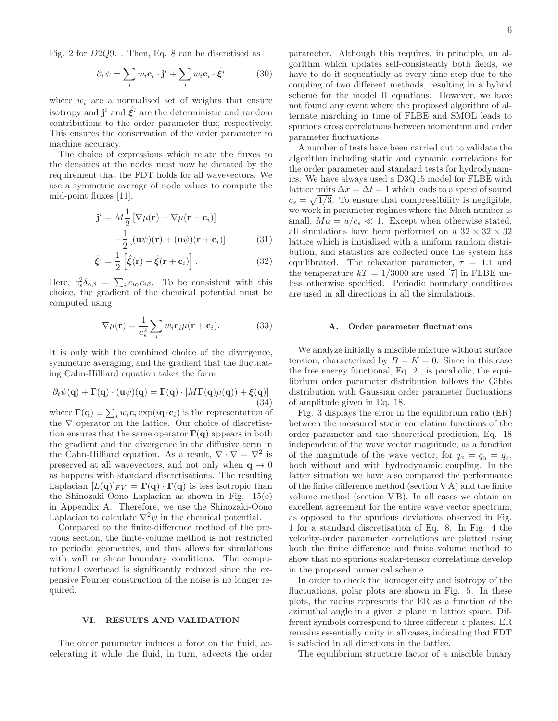Fig. 2 for D2Q9. . Then, Eq. 8 can be discretised as

$$
\partial_t \psi = \sum_i w_i \mathbf{c}_i \cdot \mathbf{j}^i + \sum_i w_i \mathbf{c}_i \cdot \hat{\xi}^i \tag{30}
$$

where  $w_i$  are a normalised set of weights that ensure isotropy and  $\mathbf{j}^{i}$  and  $\hat{\mathbf{\xi}}^{i}$  are the deterministic and random contributions to the order parameter flux, respectively. This ensures the conservation of the order parameter to machine accuracy.

The choice of expressions which relate the fluxes to the densities at the nodes must now be dictated by the requirement that the FDT holds for all wavevectors. We use a symmetric average of node values to compute the mid-point fluxes [11],

$$
\mathbf{j}^{i} = M \frac{1}{2} \left[ \nabla \mu(\mathbf{r}) + \nabla \mu(\mathbf{r} + \mathbf{c}_{i}) \right] - \frac{1}{2} \left[ (\mathbf{u}\psi)(\mathbf{r}) + (\mathbf{u}\psi)(\mathbf{r} + \mathbf{c}_{i}) \right]
$$
(31)

$$
\hat{\xi}^i = \frac{1}{2} \left[ \hat{\xi}(\mathbf{r}) + \hat{\xi}(\mathbf{r} + \mathbf{c}_i) \right]. \tag{32}
$$

Here,  $c_s^2 \delta_{\alpha\beta} = \sum_i c_{i\alpha} c_{i\beta}$ . To be consistent with this choice, the gradient of the chemical potential must be computed using

$$
\nabla \mu(\mathbf{r}) = \frac{1}{c_s^2} \sum_i w_i \mathbf{c}_i \mu(\mathbf{r} + \mathbf{c}_i).
$$
 (33)

It is only with the combined choice of the divergence, symmetric averaging, and the gradient that the fluctuating Cahn-Hilliard equation takes the form

$$
\partial_t \psi(\mathbf{q}) + \mathbf{\Gamma}(\mathbf{q}) \cdot (\mathbf{u}\psi)(\mathbf{q}) = \mathbf{\Gamma}(\mathbf{q}) \cdot [M\mathbf{\Gamma}(\mathbf{q})\mu(\mathbf{q})) + \xi(\mathbf{q})]
$$
\n(34)

where  $\mathbf{\Gamma}(\mathbf{q}) \equiv \sum_i w_i \mathbf{c}_i \exp(i\mathbf{q} \cdot \mathbf{c}_i)$  is the representation of the ∇ operator on the lattice. Our choice of discretisation ensures that the same operator  $\Gamma(q)$  appears in both the gradient and the divergence in the diffusive term in the Cahn-Hilliard equation. As a result,  $\nabla \cdot \nabla = \nabla^2$  is preserved at all wavevectors, and not only when  $q \to 0$ as happens with standard discretisations. The resulting Laplacian  $[L(q)]_{FV} = \Gamma(q) \cdot \Gamma(q)$  is less isotropic than the Shinozaki-Oono Laplacian as shown in Fig. 15(e) in Appendix A. Therefore, we use the Shinozaki-Oono Laplacian to calculate  $\nabla^2 \psi$  in the chemical potential.

Compared to the finite-difference method of the previous section, the finite-volume method is not restricted to periodic geometries, and thus allows for simulations with wall or shear boundary conditions. The computational overhead is significantly reduced since the expensive Fourier construction of the noise is no longer required.

## VI. RESULTS AND VALIDATION

The order parameter induces a force on the fluid, accelerating it while the fluid, in turn, advects the order

parameter. Although this requires, in principle, an algorithm which updates self-consistently both fields, we have to do it sequentially at every time step due to the coupling of two different methods, resulting in a hybrid scheme for the model H equations. However, we have not found any event where the proposed algorithm of alternate marching in time of FLBE and SMOL leads to spurious cross correlations between momentum and order parameter fluctuations.

A number of tests have been carried out to validate the algorithm including static and dynamic correlations for the order parameter and standard tests for hydrodynamics. We have always used a D3Q15 model for FLBE with lattice units  $\Delta x = \Delta t = 1$  which leads to a speed of sound  $c_s = \sqrt{1/3}$ . To ensure that compressibility is negligible, we work in parameter regimes where the Mach number is small,  $Ma = u/c_s \ll 1$ . Except when otherwise stated, all simulations have been performed on a  $32 \times 32 \times 32$ lattice which is initialized with a uniform random distribution, and statistics are collected once the system has equilibrated. The relaxation parameter,  $\tau = 1.1$  and the temperature  $kT = 1/3000$  are used [7] in FLBE unless otherwise specified. Periodic boundary conditions are used in all directions in all the simulations.

#### A. Order parameter fluctuations

We analyze initially a miscible mixture without surface tension, characterized by  $B = K = 0$ . Since in this case the free energy functional, Eq. 2 , is parabolic, the equilibrium order parameter distribution follows the Gibbs distribution with Gaussian order parameter fluctuations of amplitude given in Eq. 18.

Fig. 3 displays the error in the equilibrium ratio (ER) between the measured static correlation functions of the order parameter and the theoretical prediction, Eq. 18 independent of the wave vector magnitude, as a function of the magnitude of the wave vector, for  $q_x = q_y = q_z$ , both without and with hydrodynamic coupling. In the latter situation we have also compared the performance of the finite difference method (section V A) and the finite volume method (section V B). In all cases we obtain an excellent agreement for the entire wave vector spectrum, as opposed to the spurious deviations observed in Fig. 1 for a standard discretisation of Eq. 8. In Fig. 4 the velocity-order parameter correlations are plotted using both the finite difference and finite volume method to show that no spurious scalar-tensor correlations develop in the proposed numerical scheme.

In order to check the homogeneity and isotropy of the fluctuations, polar plots are shown in Fig. 5. In these plots, the radius represents the ER as a function of the azimuthal angle in a given z plane in lattice space. Different symbols correspond to three different z planes. ER remains essentially unity in all cases, indicating that FDT is satisfied in all directions in the lattice.

The equilibrium structure factor of a miscible binary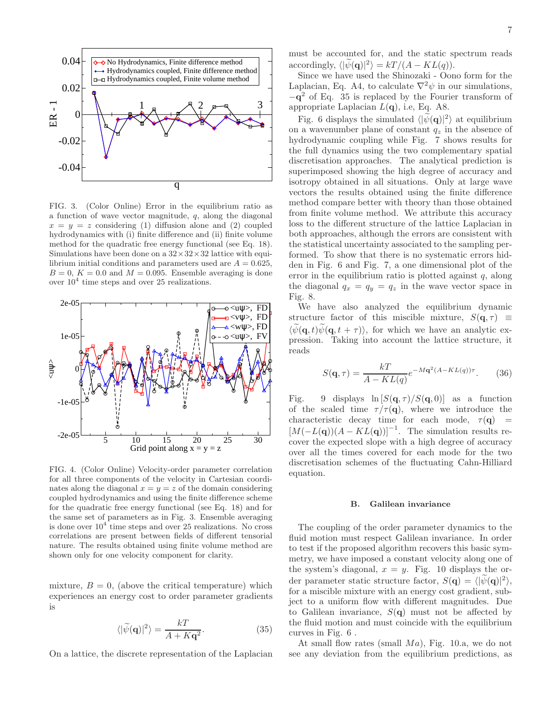

FIG. 3. (Color Online) Error in the equilibrium ratio as a function of wave vector magnitude,  $q$ , along the diagonal  $x = y = z$  considering (1) diffusion alone and (2) coupled hydrodynamics with (i) finite difference and (ii) finite volume method for the quadratic free energy functional (see Eq. 18). Simulations have been done on a  $32 \times 32 \times 32$  lattice with equilibrium initial conditions and parameters used are  $A = 0.625$ ,  $B = 0, K = 0.0$  and  $M = 0.095$ . Ensemble averaging is done over  $10^4$  time steps and over 25 realizations.



FIG. 4. (Color Online) Velocity-order parameter correlation for all three components of the velocity in Cartesian coordinates along the diagonal  $x = y = z$  of the domain considering coupled hydrodynamics and using the finite difference scheme for the quadratic free energy functional (see Eq. 18) and for the same set of parameters as in Fig. 3. Ensemble averaging is done over  $10^4$  time steps and over 25 realizations. No cross correlations are present between fields of different tensorial nature. The results obtained using finite volume method are shown only for one velocity component for clarity.

mixture,  $B = 0$ , (above the critical temperature) which experiences an energy cost to order parameter gradients is

$$
\langle |\tilde{\psi}(\mathbf{q})|^2 \rangle = \frac{kT}{A + K\mathbf{q}^2}.
$$
 (35)

On a lattice, the discrete representation of the Laplacian

must be accounted for, and the static spectrum reads accordingly,  $\langle |\psi(\mathbf{q})|^2 \rangle = kT/(A - KL(q)).$ 

Since we have used the Shinozaki - Oono form for the Laplacian, Eq. A4, to calculate  $\nabla^2 \psi$  in our simulations, −q <sup>2</sup> of Eq. 35 is replaced by the Fourier transform of appropriate Laplacian  $L(\mathbf{q})$ , i.e, Eq. A8.

Fig. 6 displays the simulated  $\langle |\psi(\mathbf{q})|^2 \rangle$  at equilibrium on a wavenumber plane of constant  $q_z$  in the absence of hydrodynamic coupling while Fig. 7 shows results for the full dynamics using the two complementary spatial discretisation approaches. The analytical prediction is superimposed showing the high degree of accuracy and isotropy obtained in all situations. Only at large wave vectors the results obtained using the finite difference method compare better with theory than those obtained from finite volume method. We attribute this accuracy loss to the different structure of the lattice Laplacian in both approaches, although the errors are consistent with the statistical uncertainty associated to the sampling performed. To show that there is no systematic errors hidden in Fig. 6 and Fig. 7, a one dimensional plot of the error in the equilibrium ratio is plotted against  $q$ , along the diagonal  $q_x = q_y = q_z$  in the wave vector space in Fig. 8.

We have also analyzed the equilibrium dynamic structure factor of this miscible mixture,  $S(\mathbf{q}, \tau) \equiv$  $\langle \psi(\mathbf{q}, t) \psi(\mathbf{q}, t + \tau) \rangle$ , for which we have an analytic expression. Taking into account the lattice structure, it reads

$$
S(\mathbf{q}, \tau) = \frac{kT}{A - KL(q)} e^{-M\mathbf{q}^2(A - KL(q))\tau}.
$$
 (36)

Fig. 9 displays  $\ln [S(q, \tau)/S(q, 0)]$  as a function of the scaled time  $\tau/\tau(\mathbf{q})$ , where we introduce the characteristic decay time for each mode,  $\tau(\mathbf{q})$  =  $[M(-L(\mathbf{q}))(A - KL(\mathbf{q}))]^{-1}$ . The simulation results recover the expected slope with a high degree of accuracy over all the times covered for each mode for the two discretisation schemes of the fluctuating Cahn-Hilliard equation.

## B. Galilean invariance

The coupling of the order parameter dynamics to the fluid motion must respect Galilean invariance. In order to test if the proposed algorithm recovers this basic symmetry, we have imposed a constant velocity along one of the system's diagonal,  $x = y$ . Fig. 10 displays the order parameter static structure factor,  $S(\mathbf{q}) = \langle |\psi(\mathbf{q})|^2 \rangle$ , for a miscible mixture with an energy cost gradient, subject to a uniform flow with different magnitudes. Due to Galilean invariance,  $S(\mathbf{q})$  must not be affected by the fluid motion and must coincide with the equilibrium curves in Fig. 6 .

At small flow rates (small  $Ma$ ), Fig. 10.a, we do not see any deviation from the equilibrium predictions, as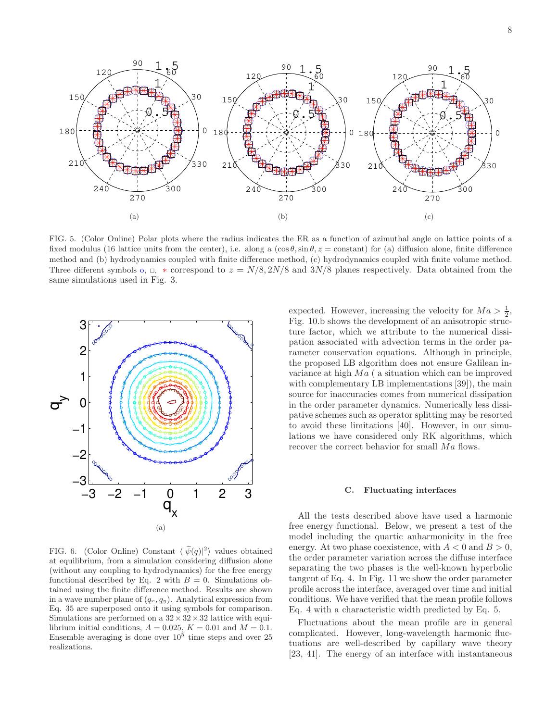

FIG. 5. (Color Online) Polar plots where the radius indicates the ER as a function of azimuthal angle on lattice points of a fixed modulus (16 lattice units from the center), i.e. along a  $(\cos \theta, \sin \theta, z = \text{constant})$  for (a) diffusion alone, finite difference method and (b) hydrodynamics coupled with finite difference method, (c) hydrodynamics coupled with finite volume method. Three different symbols o,  $\Box$ , \* correspond to  $z = N/8$ , 2N/8 and 3N/8 planes respectively. Data obtained from the same simulations used in Fig. 3.



FIG. 6. (Color Online) Constant  $\langle |\widetilde{\psi}(q)|^2 \rangle$  values obtained at equilibrium, from a simulation considering diffusion alone (without any coupling to hydrodynamics) for the free energy functional described by Eq. 2 with  $B = 0$ . Simulations obtained using the finite difference method. Results are shown in a wave number plane of  $(q_x, q_y)$ . Analytical expression from Eq. 35 are superposed onto it using symbols for comparison. Simulations are performed on a  $32 \times 32 \times 32$  lattice with equilibrium initial conditions,  $A = 0.025$ ,  $K = 0.01$  and  $M = 0.1$ . Ensemble averaging is done over  $10^5$  time steps and over 25 realizations.

expected. However, increasing the velocity for  $Ma > \frac{1}{2}$ , Fig. 10.b shows the development of an anisotropic structure factor, which we attribute to the numerical dissipation associated with advection terms in the order parameter conservation equations. Although in principle, the proposed LB algorithm does not ensure Galilean invariance at high  $Ma$  ( a situation which can be improved with complementary LB implementations [39]), the main source for inaccuracies comes from numerical dissipation in the order parameter dynamics. Numerically less dissipative schemes such as operator splitting may be resorted to avoid these limitations [40]. However, in our simulations we have considered only RK algorithms, which recover the correct behavior for small  $Ma$  flows.

# C. Fluctuating interfaces

All the tests described above have used a harmonic free energy functional. Below, we present a test of the model including the quartic anharmonicity in the free energy. At two phase coexistence, with  $A < 0$  and  $B > 0$ , the order parameter variation across the diffuse interface separating the two phases is the well-known hyperbolic tangent of Eq. 4. In Fig. 11 we show the order parameter profile across the interface, averaged over time and initial conditions. We have verified that the mean profile follows Eq. 4 with a characteristic width predicted by Eq. 5.

Fluctuations about the mean profile are in general complicated. However, long-wavelength harmonic fluctuations are well-described by capillary wave theory [23, 41]. The energy of an interface with instantaneous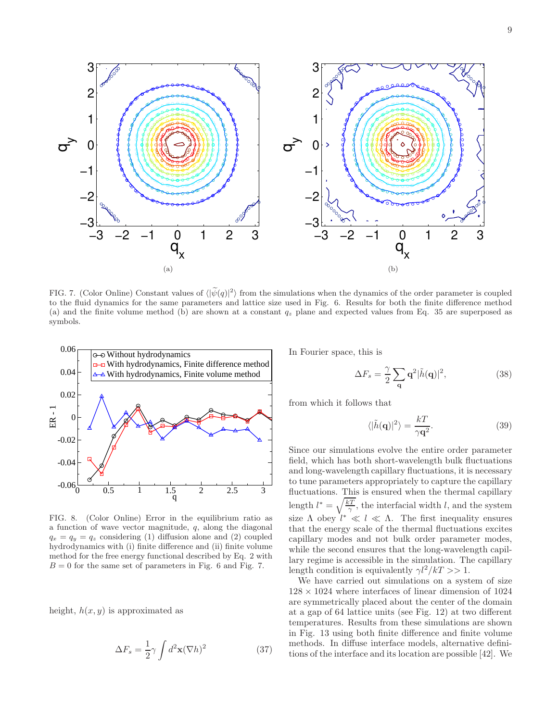

FIG. 7. (Color Online) Constant values of  $\langle |\psi(q)|^2 \rangle$  from the simulations when the dynamics of the order parameter is coupled to the fluid dynamics for the same parameters and lattice size used in Fig. 6. Results for both the finite difference method (a) and the finite volume method (b) are shown at a constant  $q_z$  plane and expected values from Eq. 35 are superposed as symbols.



FIG. 8. (Color Online) Error in the equilibrium ratio as a function of wave vector magnitude, q, along the diagonal  $q_x = q_y = q_z$  considering (1) diffusion alone and (2) coupled hydrodynamics with (i) finite difference and (ii) finite volume method for the free energy functional described by Eq. 2 with  $B = 0$  for the same set of parameters in Fig. 6 and Fig. 7.

height,  $h(x, y)$  is approximated as

$$
\Delta F_s = \frac{1}{2} \gamma \int d^2 \mathbf{x} (\nabla h)^2 \tag{37}
$$

In Fourier space, this is

$$
\Delta F_s = \frac{\gamma}{2} \sum_{\mathbf{q}} \mathbf{q}^2 |\tilde{h}(\mathbf{q})|^2, \tag{38}
$$

from which it follows that

$$
\langle |\tilde{h}(\mathbf{q})|^2 \rangle = \frac{kT}{\gamma \mathbf{q}^2}.
$$
 (39)

Since our simulations evolve the entire order parameter field, which has both short-wavelength bulk fluctuations and long-wavelength capillary fluctuations, it is necessary to tune parameters appropriately to capture the capillary fluctuations. This is ensured when the thermal capillary length  $l^* = \sqrt{\frac{kT}{\gamma}}$ , the interfacial width l, and the system size  $\Lambda$  obey  $l^* \ll l \ll \Lambda$ . The first inequality ensures that the energy scale of the thermal fluctuations excites capillary modes and not bulk order parameter modes, while the second ensures that the long-wavelength capillary regime is accessible in the simulation. The capillary length condition is equivalently  $\gamma l^2/kT >> 1$ .

We have carried out simulations on a system of size  $128 \times 1024$  where interfaces of linear dimension of 1024 are symmetrically placed about the center of the domain at a gap of 64 lattice units (see Fig. 12) at two different temperatures. Results from these simulations are shown in Fig. 13 using both finite difference and finite volume methods. In diffuse interface models, alternative definitions of the interface and its location are possible [42]. We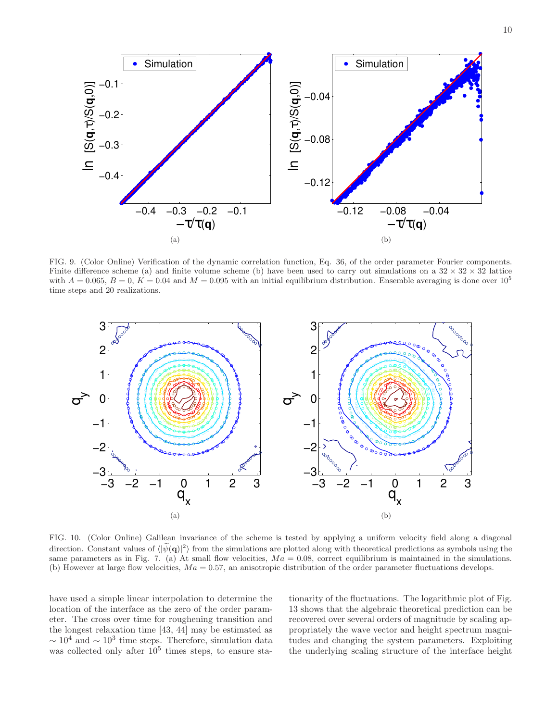

FIG. 9. (Color Online) Verification of the dynamic correlation function, Eq. 36, of the order parameter Fourier components. Finite difference scheme (a) and finite volume scheme (b) have been used to carry out simulations on a  $32 \times 32 \times 32$  lattice with  $A = 0.065$ ,  $B = 0$ ,  $K = 0.04$  and  $M = 0.095$  with an initial equilibrium distribution. Ensemble averaging is done over  $10<sup>5</sup>$ time steps and 20 realizations.



FIG. 10. (Color Online) Galilean invariance of the scheme is tested by applying a uniform velocity field along a diagonal direction. Constant values of  $\langle |\tilde{\psi}(\mathbf{q})|^2 \rangle$  from the simulations are plotted along with theoretical predictions as symbols using the same parameters as in Fig. 7. (a) At small flow velocities,  $Ma = 0.08$ , correct equilibrium is maintained in the simulations. (b) However at large flow velocities,  $Ma = 0.57$ , an anisotropic distribution of the order parameter fluctuations develops.

have used a simple linear interpolation to determine the location of the interface as the zero of the order parameter. The cross over time for roughening transition and the longest relaxation time [43, 44] may be estimated as  $\sim 10^4$  and  $\sim 10^3$  time steps. Therefore, simulation data was collected only after  $10^5$  times steps, to ensure stationarity of the fluctuations. The logarithmic plot of Fig. 13 shows that the algebraic theoretical prediction can be recovered over several orders of magnitude by scaling appropriately the wave vector and height spectrum magnitudes and changing the system parameters. Exploiting the underlying scaling structure of the interface height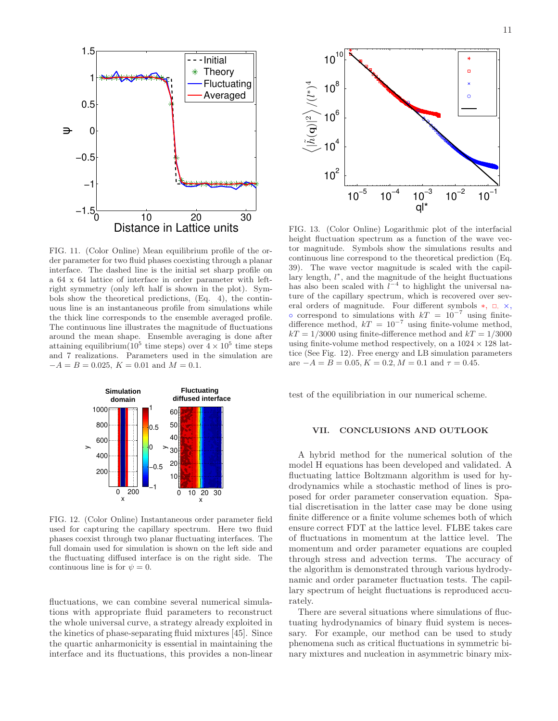

FIG. 11. (Color Online) Mean equilibrium profile of the order parameter for two fluid phases coexisting through a planar interface. The dashed line is the initial set sharp profile on a 64 x 64 lattice of interface in order parameter with leftright symmetry (only left half is shown in the plot). Symbols show the theoretical predictions, (Eq. 4), the continuous line is an instantaneous profile from simulations while the thick line corresponds to the ensemble averaged profile. The continuous line illustrates the magnitude of fluctuations around the mean shape. Ensemble averaging is done after attaining equilibrium $(10^5 \text{ time steps})$  over  $4 \times 10^5$  time steps and 7 realizations. Parameters used in the simulation are  $-A = B = 0.025, K = 0.01$  and  $M = 0.1$ .



FIG. 12. (Color Online) Instantaneous order parameter field used for capturing the capillary spectrum. Here two fluid phases coexist through two planar fluctuating interfaces. The full domain used for simulation is shown on the left side and the fluctuating diffused interface is on the right side. The continuous line is for  $\psi = 0$ .

fluctuations, we can combine several numerical simulations with appropriate fluid parameters to reconstruct the whole universal curve, a strategy already exploited in the kinetics of phase-separating fluid mixtures [45]. Since the quartic anharmonicity is essential in maintaining the interface and its fluctuations, this provides a non-linear



FIG. 13. (Color Online) Logarithmic plot of the interfacial height fluctuation spectrum as a function of the wave vector magnitude. Symbols show the simulations results and continuous line correspond to the theoretical prediction (Eq. 39). The wave vector magnitude is scaled with the capillary length,  $l^*$ , and the magnitude of the height fluctuations has also been scaled with  $l^{-4}$  to highlight the universal nature of the capillary spectrum, which is recovered over several orders of magnitude. Four different symbols  $*, \Box, \times,$  $\circ$  correspond to simulations with  $kT = 10^{-7}$  using finitedifference method,  $kT = 10^{-7}$  using finite-volume method,  $kT = 1/3000$  using finite-difference method and  $kT = 1/3000$ using finite-volume method respectively, on a  $1024 \times 128$  lattice (See Fig. 12). Free energy and LB simulation parameters are  $-A = B = 0.05, K = 0.2, M = 0.1$  and  $\tau = 0.45$ .

test of the equilibriation in our numerical scheme.

# VII. CONCLUSIONS AND OUTLOOK

A hybrid method for the numerical solution of the model H equations has been developed and validated. A fluctuating lattice Boltzmann algorithm is used for hydrodynamics while a stochastic method of lines is proposed for order parameter conservation equation. Spatial discretisation in the latter case may be done using finite difference or a finite volume schemes both of which ensure correct FDT at the lattice level. FLBE takes care of fluctuations in momentum at the lattice level. The momentum and order parameter equations are coupled through stress and advection terms. The accuracy of the algorithm is demonstrated through various hydrodynamic and order parameter fluctuation tests. The capillary spectrum of height fluctuations is reproduced accurately.

There are several situations where simulations of fluctuating hydrodynamics of binary fluid system is necessary. For example, our method can be used to study phenomena such as critical fluctuations in symmetric binary mixtures and nucleation in asymmetric binary mix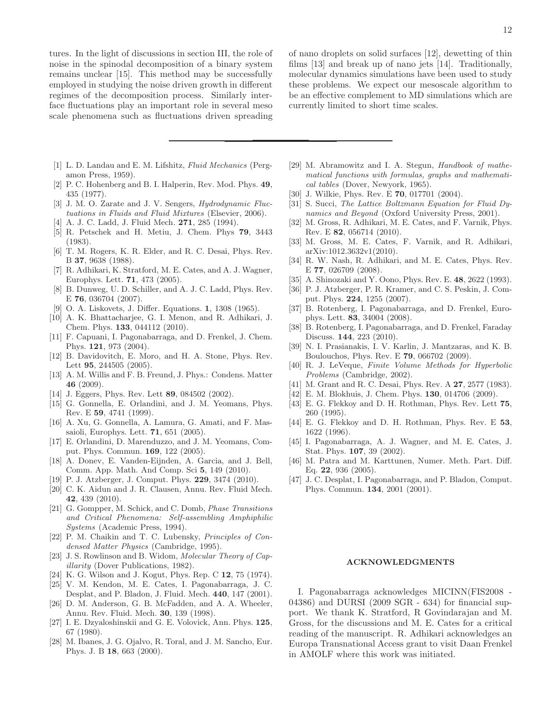tures. In the light of discussions in section III, the role of noise in the spinodal decomposition of a binary system remains unclear [15]. This method may be successfully employed in studying the noise driven growth in different regimes of the decomposition process. Similarly interface fluctuations play an important role in several meso scale phenomena such as fluctuations driven spreading

- [1] L. D. Landau and E. M. Lifshitz, Fluid Mechanics (Pergamon Press, 1959).
- [2] P. C. Hohenberg and B. I. Halperin, Rev. Mod. Phys. 49, 435 (1977).
- [3] J. M. O. Zarate and J. V. Sengers, *Hydrodynamic Fluc*tuations in Fluids and Fluid Mixtures (Elsevier, 2006).
- [4] A. J. C. Ladd, J. Fluid Mech. 271, 285 (1994).
- [5] R. Petschek and H. Metiu, J. Chem. Phys 79, 3443 (1983).
- [6] T. M. Rogers, K. R. Elder, and R. C. Desai, Phys. Rev. B 37, 9638 (1988).
- [7] R. Adhikari, K. Stratford, M. E. Cates, and A. J. Wagner, Europhys. Lett. 71, 473 (2005).
- [8] B. Dunweg, U. D. Schiller, and A. J. C. Ladd, Phys. Rev. E 76, 036704 (2007).
- [9] O. A. Liskovets, J. Differ. Equations. 1, 1308 (1965).
- [10] A. K. Bhattacharjee, G. I. Menon, and R. Adhikari, J. Chem. Phys. 133, 044112 (2010).
- [11] F. Capuani, I. Pagonabarraga, and D. Frenkel, J. Chem. Phys. 121, 973 (2004).
- [12] B. Davidovitch, E. Moro, and H. A. Stone, Phys. Rev. Lett 95, 244505 (2005).
- [13] A. M. Willis and F. B. Freund, J. Phys.: Condens. Matter 46 (2009).
- [14] J. Eggers, Phys. Rev. Lett **89**, 084502 (2002).
- [15] G. Gonnella, E. Orlandini, and J. M. Yeomans, Phys. Rev. E 59, 4741 (1999).
- [16] A. Xu, G. Gonnella, A. Lamura, G. Amati, and F. Massaioli, Europhys. Lett. 71, 651 (2005).
- [17] E. Orlandini, D. Marenduzzo, and J. M. Yeomans, Comput. Phys. Commun. 169, 122 (2005).
- [18] A. Donev, E. Vanden-Eijnden, A. Garcia, and J. Bell, Comm. App. Math. And Comp. Sci 5, 149 (2010).
- [19] P. J. Atzberger, J. Comput. Phys. 229, 3474 (2010).
- [20] C. K. Aidun and J. R. Clausen, Annu. Rev. Fluid Mech. 42, 439 (2010).
- [21] G. Gompper, M. Schick, and C. Domb, Phase Transitions and Critical Phenomena: Self-assembling Amphiphilic Systems (Academic Press, 1994).
- [22] P. M. Chaikin and T. C. Lubensky, Principles of Condensed Matter Physics (Cambridge, 1995).
- [23] J. S. Rowlinson and B. Widom, Molecular Theory of Capillarity (Dover Publications, 1982).
- [24] K. G. Wilson and J. Kogut, Phys. Rep. C 12, 75 (1974).
- [25] V. M. Kendon, M. E. Cates, I. Pagonabarraga, J. C. Desplat, and P. Bladon, J. Fluid. Mech. 440, 147 (2001).
- [26] D. M. Anderson, G. B. McFadden, and A. A. Wheeler, Annu. Rev. Fluid. Mech. 30, 139 (1998).
- [27] I. E. Dzyaloshinskii and G. E. Volovick, Ann. Phys. 125, 67 (1980).
- [28] M. Ibanes, J. G. Ojalvo, R. Toral, and J. M. Sancho, Eur. Phys. J. B 18, 663 (2000).

of nano droplets on solid surfaces [12], dewetting of thin films [13] and break up of nano jets [14]. Traditionally, molecular dynamics simulations have been used to study these problems. We expect our mesoscale algorithm to be an effective complement to MD simulations which are currently limited to short time scales.

- [29] M. Abramowitz and I. A. Stegun, Handbook of mathematical functions with formulas, graphs and mathematical tables (Dover, Newyork, 1965).
- [30] J. Wilkie, Phys. Rev. E **70**, 017701 (2004).
- [31] S. Succi, The Lattice Boltzmann Equation for Fluid Dynamics and Beyond (Oxford University Press, 2001).
- [32] M. Gross, R. Adhikari, M. E. Cates, and F. Varnik, Phys. Rev. E 82, 056714 (2010).
- [33] M. Gross, M. E. Cates, F. Varnik, and R. Adhikari, arXiv:1012.3632v1(2010).
- [34] R. W. Nash, R. Adhikari, and M. E. Cates, Phys. Rev. E 77, 026709 (2008).
- [35] A. Shinozaki and Y. Oono, Phys. Rev. E. 48, 2622 (1993).
- [36] P. J. Atzberger, P. R. Kramer, and C. S. Peskin, J. Comput. Phys. 224, 1255 (2007).
- [37] B. Rotenberg, I. Pagonabarraga, and D. Frenkel, Europhys. Lett. 83, 34004 (2008).
- [38] B. Rotenberg, I. Pagonabarraga, and D. Frenkel, Faraday Discuss. 144, 223 (2010).
- [39] N. I. Prasianakis, I. V. Karlin, J. Mantzaras, and K. B. Boulouchos, Phys. Rev. E 79, 066702 (2009).
- [40] R. J. LeVeque, Finite Volume Methods for Hyperbolic Problems (Cambridge, 2002).
- [41] M. Grant and R. C. Desai, Phys. Rev. A **27**, 2577 (1983).
- [42] E. M. Blokhuis, J. Chem. Phys. 130, 014706 (2009).
- [43] E. G. Flekkoy and D. H. Rothman, Phys. Rev. Lett 75, 260 (1995).
- [44] E. G. Flekkoy and D. H. Rothman, Phys. Rev. E 53, 1622 (1996).
- [45] I. Pagonabarraga, A. J. Wagner, and M. E. Cates, J. Stat. Phys. 107, 39 (2002).
- [46] M. Patra and M. Karttunen, Numer. Meth. Part. Diff. Eq. 22, 936 (2005).
- [47] J. C. Desplat, I. Pagonabarraga, and P. Bladon, Comput. Phys. Commun. 134, 2001 (2001).

## ACKNOWLEDGMENTS

I. Pagonabarraga acknowledges MICINN(FIS2008 - 04386) and DURSI (2009 SGR - 634) for financial support. We thank K. Stratford, R Govindarajan and M. Gross, for the discussions and M. E. Cates for a critical reading of the manuscript. R. Adhikari acknowledges an Europa Transnational Access grant to visit Daan Frenkel in AMOLF where this work was initiated.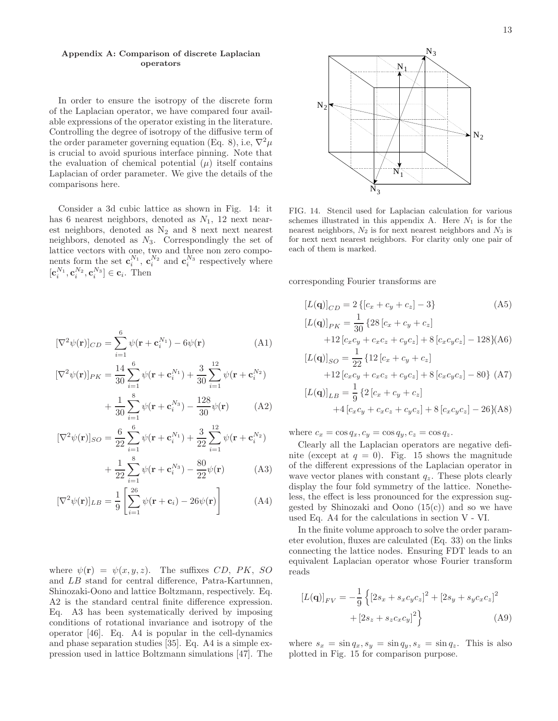# Appendix A: Comparison of discrete Laplacian operators

In order to ensure the isotropy of the discrete form of the Laplacian operator, we have compared four available expressions of the operator existing in the literature. Controlling the degree of isotropy of the diffusive term of the order parameter governing equation (Eq. 8), i.e,  $\nabla^2 \mu$ is crucial to avoid spurious interface pinning. Note that the evaluation of chemical potential  $(\mu)$  itself contains Laplacian of order parameter. We give the details of the comparisons here.

Consider a 3d cubic lattice as shown in Fig. 14: it has 6 nearest neighbors, denoted as  $N_1$ , 12 next nearest neighbors, denoted as N<sup>2</sup> and 8 next next nearest neighbors, denoted as  $N_3$ . Correspondingly the set of lattice vectors with one, two and three non zero components form the set  $\mathbf{c}_i^{N_1}$ ,  $\mathbf{c}_i^{N_2}$  and  $\mathbf{c}_i^{N_3}$  respectively where  $[\mathbf{c}_i^{N_1}, \mathbf{c}_i^{N_2}, \mathbf{c}_i^{N_3}] \in \mathbf{c}_i$ . Then

$$
[\nabla^2 \psi(\mathbf{r})]_{CD} = \sum_{i=1}^6 \psi(\mathbf{r} + \mathbf{c}_i^{N_1}) - 6\psi(\mathbf{r})
$$
 (A1)

$$
[\nabla^2 \psi(\mathbf{r})]_{PK} = \frac{14}{30} \sum_{i=1}^{6} \psi(\mathbf{r} + \mathbf{c}_i^{N_1}) + \frac{3}{30} \sum_{i=1}^{12} \psi(\mathbf{r} + \mathbf{c}_i^{N_2})
$$

$$
= \frac{1}{30} \sum_{i=1}^{8} \psi(\mathbf{r} + \mathbf{c}_i^{N_3}) - \frac{128}{30} \psi(\mathbf{r}) \tag{43}
$$

$$
+\frac{1}{30}\sum_{i=1}\psi(\mathbf{r}+\mathbf{c}_i^{N_3})-\frac{128}{30}\psi(\mathbf{r})\tag{A2}
$$

$$
[\nabla^2 \psi(\mathbf{r})]_{SO} = \frac{6}{22} \sum_{i=1}^6 \psi(\mathbf{r} + \mathbf{c}_i^{N_1}) + \frac{3}{22} \sum_{i=1}^{12} \psi(\mathbf{r} + \mathbf{c}_i^{N_2})
$$

$$
= \frac{1}{2} \sum_{i=1}^8 \psi(\mathbf{r} + \mathbf{c}_i^{N_3}) - \frac{80}{2} \psi(\mathbf{r}) \tag{43}
$$

$$
+\frac{1}{22}\sum_{i=1}\psi(\mathbf{r}+\mathbf{c}_{i}^{N_{3}})-\frac{80}{22}\psi(\mathbf{r})
$$
 (A3)

$$
[\nabla^2 \psi(\mathbf{r})]_{LB} = \frac{1}{9} \left[ \sum_{i=1}^{26} \psi(\mathbf{r} + \mathbf{c}_i) - 26\psi(\mathbf{r}) \right]
$$
(A4)

where  $\psi(\mathbf{r}) = \psi(x, y, z)$ . The suffixes CD, PK, SO and LB stand for central difference, Patra-Kartunnen, Shinozaki-Oono and lattice Boltzmann, respectively. Eq. A2 is the standard central finite difference expression. Eq. A3 has been systematically derived by imposing conditions of rotational invariance and isotropy of the operator [46]. Eq. A4 is popular in the cell-dynamics and phase separation studies [35]. Eq. A4 is a simple expression used in lattice Boltzmann simulations [47]. The



FIG. 14. Stencil used for Laplacian calculation for various schemes illustrated in this appendix A. Here  $N_1$  is for the nearest neighbors,  $N_2$  is for next nearest neighbors and  $N_3$  is for next next nearest neighbors. For clarity only one pair of each of them is marked.

corresponding Fourier transforms are

$$
[L(\mathbf{q})]_{CD} = 2 \{ [c_x + c_y + c_z] - 3 \}
$$
(A5)  
\n
$$
[L(\mathbf{q})]_{PK} = \frac{1}{30} \{ 28 [c_x + c_y + c_z] + 12 [c_x c_y + c_x c_z + c_y c_z] + 8 [c_x c_y c_z] - 128 \} (A6)
$$
  
\n
$$
[L(\mathbf{q})]_{SO} = \frac{1}{22} \{ 12 [c_x + c_y + c_z] + 12 [c_x c_y + c_x c_z + c_y c_z] + 8 [c_x c_y c_z] - 80 \} (A7)
$$
  
\n
$$
[L(\mathbf{q})]_{LB} = \frac{1}{9} \{ 2 [c_x + c_y + c_z] + 8 [c_x c_y c_z] - 26 \} (A8)
$$

where  $c_x = \cos q_x, c_y = \cos q_y, c_z = \cos q_z$ .

Clearly all the Laplacian operators are negative definite (except at  $q = 0$ ). Fig. 15 shows the magnitude of the different expressions of the Laplacian operator in wave vector planes with constant  $q_z$ . These plots clearly display the four fold symmetry of the lattice. Nonetheless, the effect is less pronounced for the expression suggested by Shinozaki and Oono  $(15(c))$  and so we have used Eq. A4 for the calculations in section V - VI.

In the finite volume approach to solve the order parameter evolution, fluxes are calculated (Eq. 33) on the links connecting the lattice nodes. Ensuring FDT leads to an equivalent Laplacian operator whose Fourier transform reads

$$
[L(\mathbf{q})]_{FV} = -\frac{1}{9} \left\{ \left[ 2s_x + s_x c_y c_z \right]^2 + \left[ 2s_y + s_y c_x c_z \right]^2 + \left[ 2s_z + s_z c_x c_y \right]^2 \right\}
$$
(A9)

where  $s_x = \sin q_x, s_y = \sin q_y, s_z = \sin q_z$ . This is also plotted in Fig. 15 for comparison purpose.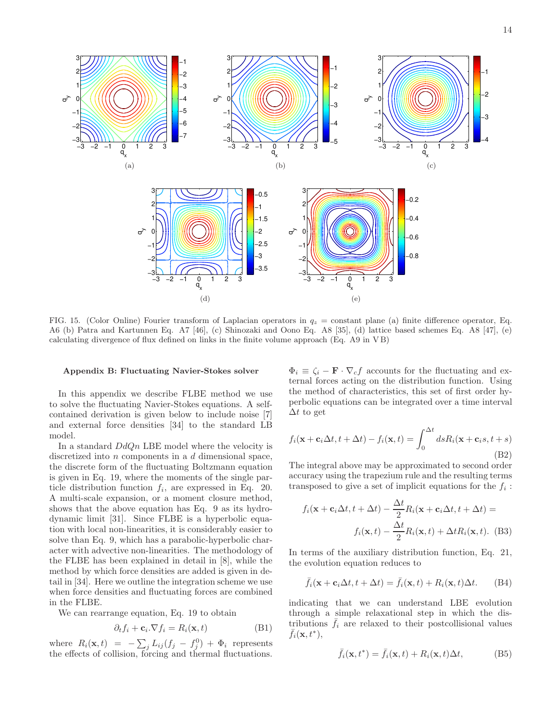

FIG. 15. (Color Online) Fourier transform of Laplacian operators in  $q_z =$  constant plane (a) finite difference operator, Eq. A6 (b) Patra and Kartunnen Eq. A7 [46], (c) Shinozaki and Oono Eq. A8 [35], (d) lattice based schemes Eq. A8 [47], (e) calculating divergence of flux defined on links in the finite volume approach (Eq. A9 in V B)

#### Appendix B: Fluctuating Navier-Stokes solver

In this appendix we describe FLBE method we use to solve the fluctuating Navier-Stokes equations. A selfcontained derivation is given below to include noise [7] and external force densities [34] to the standard LB model.

In a standard  $DdQn$  LBE model where the velocity is discretized into *n* components in a *d* dimensional space, the discrete form of the fluctuating Boltzmann equation is given in Eq. 19, where the moments of the single particle distribution function  $f_i$ , are expressed in Eq. 20. A multi-scale expansion, or a moment closure method, shows that the above equation has Eq. 9 as its hydrodynamic limit [31]. Since FLBE is a hyperbolic equation with local non-linearities, it is considerably easier to solve than Eq. 9, which has a parabolic-hyperbolic character with advective non-linearities. The methodology of the FLBE has been explained in detail in [8], while the method by which force densities are added is given in detail in [34]. Here we outline the integration scheme we use when force densities and fluctuating forces are combined in the FLBE.

We can rearrange equation, Eq. 19 to obtain

$$
\partial_t f_i + \mathbf{c}_i \cdot \nabla f_i = R_i(\mathbf{x}, t) \tag{B1}
$$

where  $R_i(\mathbf{x}, t) = -\sum_j L_{ij} (f_j - f_j^0) + \Phi_i$  represents the effects of collision, forcing and thermal fluctuations.

 $\Phi_i \equiv \zeta_i - \mathbf{F} \cdot \nabla_c f$  accounts for the fluctuating and external forces acting on the distribution function. Using the method of characteristics, this set of first order hyperbolic equations can be integrated over a time interval  $\Delta t$  to get

$$
f_i(\mathbf{x} + \mathbf{c}_i \Delta t, t + \Delta t) - f_i(\mathbf{x}, t) = \int_0^{\Delta t} ds R_i(\mathbf{x} + \mathbf{c}_i s, t + s)
$$
\n(B2)

The integral above may be approximated to second order accuracy using the trapezium rule and the resulting terms transposed to give a set of implicit equations for the  $f_i$ :

$$
f_i(\mathbf{x} + \mathbf{c}_i \Delta t, t + \Delta t) - \frac{\Delta t}{2} R_i(\mathbf{x} + \mathbf{c}_i \Delta t, t + \Delta t) =
$$

$$
f_i(\mathbf{x}, t) - \frac{\Delta t}{2} R_i(\mathbf{x}, t) + \Delta t R_i(\mathbf{x}, t). \quad (B3)
$$

In terms of the auxiliary distribution function, Eq. 21, the evolution equation reduces to

$$
\bar{f}_i(\mathbf{x} + \mathbf{c}_i \Delta t, t + \Delta t) = \bar{f}_i(\mathbf{x}, t) + R_i(\mathbf{x}, t) \Delta t.
$$
 (B4)

indicating that we can understand LBE evolution through a simple relaxational step in which the distributions  $f_i$  are relaxed to their postcollisional values  $\bar{f}_i(\mathbf{x},t^*),$ 

$$
\bar{f}_i(\mathbf{x}, t^*) = \bar{f}_i(\mathbf{x}, t) + R_i(\mathbf{x}, t)\Delta t, \tag{B5}
$$